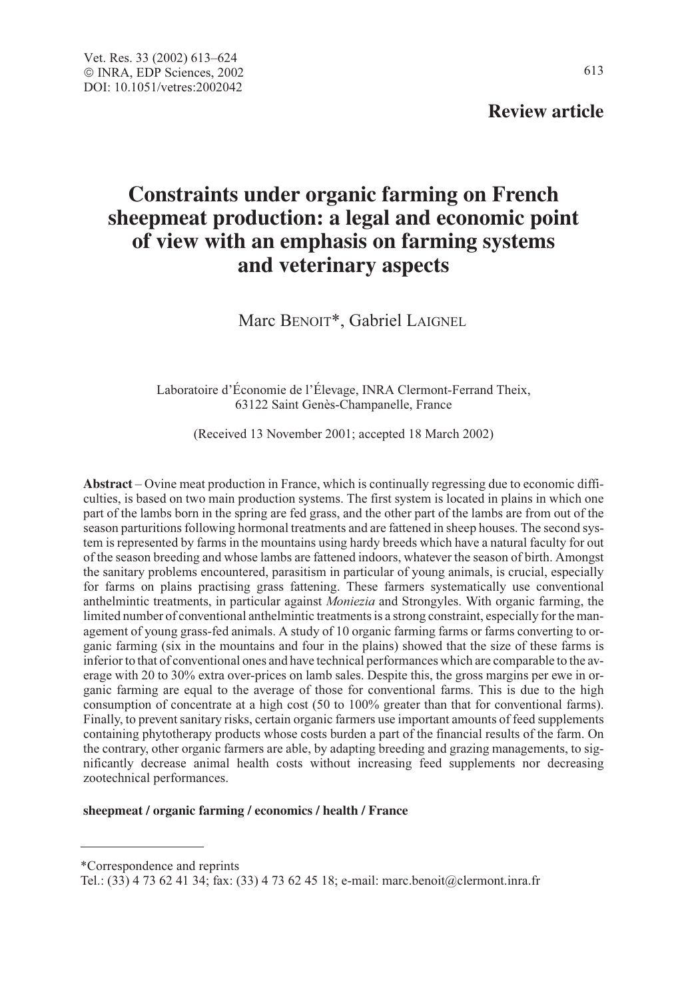# **Review article**

# **Constraints under organic farming on French sheepmeat production: a legal and economic point of view with an emphasis on farming systems and veterinary aspects**

Marc BENOIT\*, Gabriel LAIGNEL

Laboratoire d'Économie de l'Élevage, INRA Clermont-Ferrand Theix, 63122 Saint Genès-Champanelle, France

(Received 13 November 2001; accepted 18 March 2002)

**Abstract** – Ovine meat production in France, which is continually regressing due to economic difficulties, is based on two main production systems. The first system is located in plains in which one part of the lambs born in the spring are fed grass, and the other part of the lambs are from out of the season parturitions following hormonal treatments and are fattened in sheep houses. The second system is represented by farms in the mountains using hardy breeds which have a natural faculty for out of the season breeding and whose lambs are fattened indoors, whatever the season of birth. Amongst the sanitary problems encountered, parasitism in particular of young animals, is crucial, especially for farms on plains practising grass fattening. These farmers systematically use conventional anthelmintic treatments, in particular against Moniezia and Strongyles. With organic farming, the limited number of conventional anthelmintic treatments is a strong constraint, especially for the management of young grass-fed animals. A study of 10 organic farming farms or farms converting to organic farming (six in the mountains and four in the plains) showed that the size of these farms is inferior to that of conventional ones and have technical performances which are comparable to the average with 20 to 30% extra over-prices on lamb sales. Despite this, the gross margins per ewe in organic farming are equal to the average of those for conventional farms. This is due to the high consumption of concentrate at a high cost (50 to 100% greater than that for conventional farms). Finally, to prevent sanitary risks, certain organic farmers use important amounts of feed supplements containing phytotherapy products whose costs burden a part of the financial results of the farm. On the contrary, other organic farmers are able, by adapting breeding and grazing managements, to significantly decrease animal health costs without increasing feed supplements nor decreasing zootechnical performances.

#### **sheepmeat / organic farming / economics / health / France**

\*Correspondence and reprints

Tel.: (33) 4 73 62 41 34; fax: (33) 4 73 62 45 18; e-mail: marc.benoit@clermont.inra.fr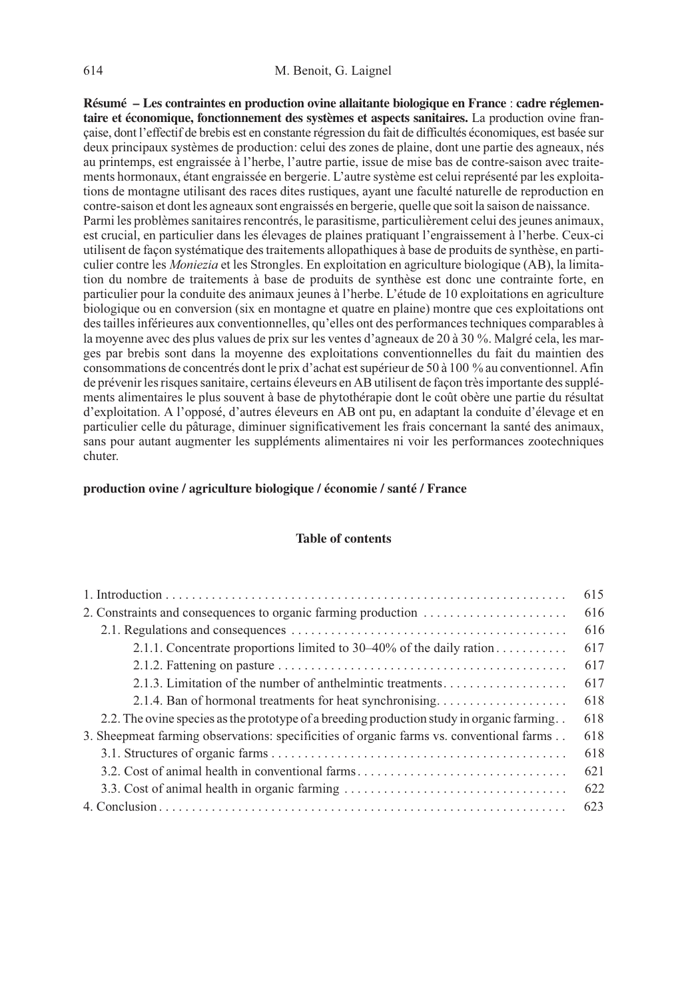**Résumé – Les contraintes en production ovine allaitante biologique en France** : **cadre réglementaire et économique, fonctionnement des systèmes et aspects sanitaires.** La production ovine française, dont l'effectif de brebis est en constante régression du fait de difficultés économiques, est basée sur deux principaux systèmes de production: celui des zones de plaine, dont une partie des agneaux, nés au printemps, est engraissée à l'herbe, l'autre partie, issue de mise bas de contre-saison avec traitements hormonaux, étant engraissée en bergerie. L'autre système est celui représenté par les exploitations de montagne utilisant des races dites rustiques, ayant une faculté naturelle de reproduction en contre-saison et dont les agneaux sont engraissés en bergerie, quelle que soit la saison de naissance. Parmi les problèmes sanitaires rencontrés, le parasitisme, particulièrement celui des jeunes animaux, est crucial, en particulier dans les élevages de plaines pratiquant l'engraissement à l'herbe. Ceux-ci utilisent de façon systématique des traitements allopathiques à base de produits de synthèse, en particulier contre les Moniezia et les Strongles. En exploitation en agriculture biologique (AB), la limitation du nombre de traitements à base de produits de synthèse est donc une contrainte forte, en particulier pour la conduite des animaux jeunes à l'herbe. L'étude de 10 exploitations en agriculture biologique ou en conversion (six en montagne et quatre en plaine) montre que ces exploitations ont des tailles inférieures aux conventionnelles, qu'elles ont des performances techniques comparables à la moyenne avec des plus values de prix sur les ventes d'agneaux de 20 à 30 %. Malgré cela, les marges par brebis sont dans la moyenne des exploitations conventionnelles du fait du maintien des consommations de concentrés dont le prix d'achat est supérieur de 50 à 100 % au conventionnel. Afin de prévenir les risques sanitaire, certains éleveurs en AB utilisent de façon très importante des suppléments alimentaires le plus souvent à base de phytothérapie dont le coût obère une partie du résultat d'exploitation. A l'opposé, d'autres éleveurs en AB ont pu, en adaptant la conduite d'élevage et en particulier celle du pâturage, diminuer significativement les frais concernant la santé des animaux, sans pour autant augmenter les suppléments alimentaires ni voir les performances zootechniques chuter.

# **production ovine / agriculture biologique / économie / santé / France**

#### **Table of contents**

|                                                                                                                         | 615 |
|-------------------------------------------------------------------------------------------------------------------------|-----|
|                                                                                                                         | 616 |
|                                                                                                                         | 616 |
| 2.1.1. Concentrate proportions limited to 30–40% of the daily ration                                                    | 617 |
| 2.1.2. Fattening on pasture $\dots \dots \dots \dots \dots \dots \dots \dots \dots \dots \dots \dots \dots \dots \dots$ | 617 |
| 2.1.3. Limitation of the number of anthelmintic treatments                                                              | 617 |
| 2.1.4. Ban of hormonal treatments for heat synchronising                                                                | 618 |
| 2.2. The ovine species as the prototype of a breeding production study in organic farming                               | 618 |
| 3. Sheepmeat farming observations: specificities of organic farms vs. conventional farms                                | 618 |
|                                                                                                                         | 618 |
| 3.2. Cost of animal health in conventional farms                                                                        | 621 |
| 3.3. Cost of animal health in organic farming                                                                           | 622 |
|                                                                                                                         | 623 |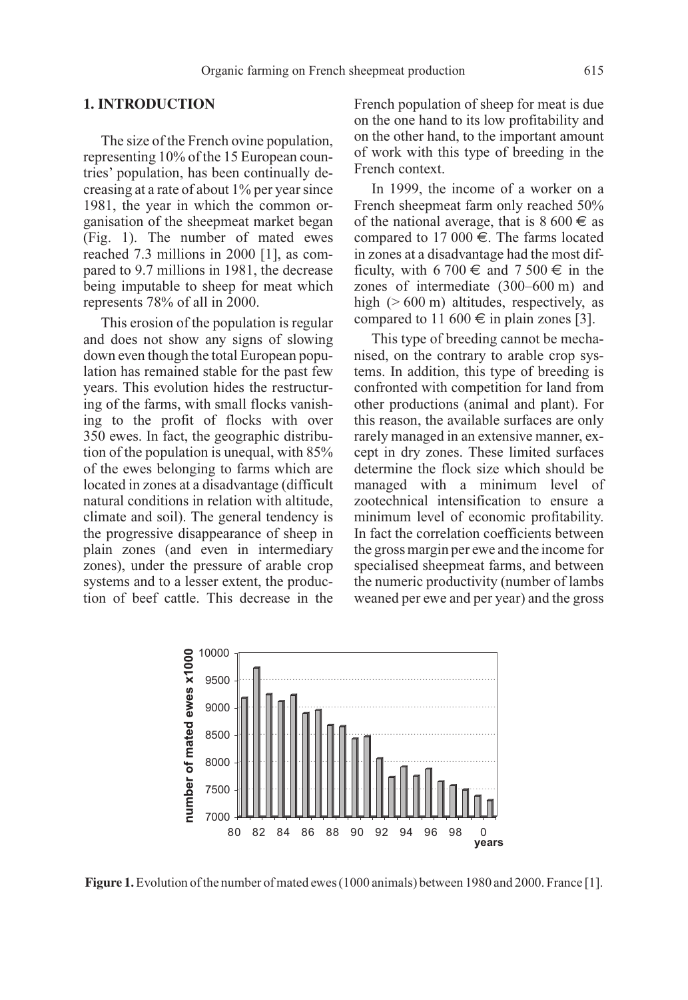#### **1. INTRODUCTION**

The size of the French ovine population, representing 10% of the 15 European countries' population, has been continually decreasing at a rate of about 1% per year since 1981, the year in which the common organisation of the sheepmeat market began (Fig. 1). The number of mated ewes reached 7.3 millions in 2000 [1], as compared to 9.7 millions in 1981, the decrease being imputable to sheep for meat which represents 78% of all in 2000.

This erosion of the population is regular and does not show any signs of slowing down even though the total European population has remained stable for the past few years. This evolution hides the restructuring of the farms, with small flocks vanishing to the profit of flocks with over 350 ewes. In fact, the geographic distribution of the population is unequal, with 85% of the ewes belonging to farms which are located in zones at a disadvantage (difficult natural conditions in relation with altitude, climate and soil). The general tendency is the progressive disappearance of sheep in plain zones (and even in intermediary zones), under the pressure of arable crop systems and to a lesser extent, the production of beef cattle. This decrease in the French population of sheep for meat is due on the one hand to its low profitability and on the other hand, to the important amount of work with this type of breeding in the French context.

In 1999, the income of a worker on a French sheepmeat farm only reached 50% of the national average, that is  $8\,600 \in \text{as}$ compared to 17 000  $\in$ . The farms located in zones at a disadvantage had the most difficulty, with 6 700  $\in$  and 7 500  $\in$  in the zones of intermediate (300–600 m) and high  $(> 600 \text{ m})$  altitudes, respectively, as compared to 11 600  $\in$  in plain zones [3].

This type of breeding cannot be mechanised, on the contrary to arable crop systems. In addition, this type of breeding is confronted with competition for land from other productions (animal and plant). For this reason, the available surfaces are only rarely managed in an extensive manner, except in dry zones. These limited surfaces determine the flock size which should be managed with a minimum level of zootechnical intensification to ensure a minimum level of economic profitability. In fact the correlation coefficients between the gross margin per ewe and the income for specialised sheepmeat farms, and between the numeric productivity (number of lambs weaned per ewe and per year) and the gross



**Figure 1.**Evolution of the number of mated ewes (1000 animals) between 1980 and 2000. France [1].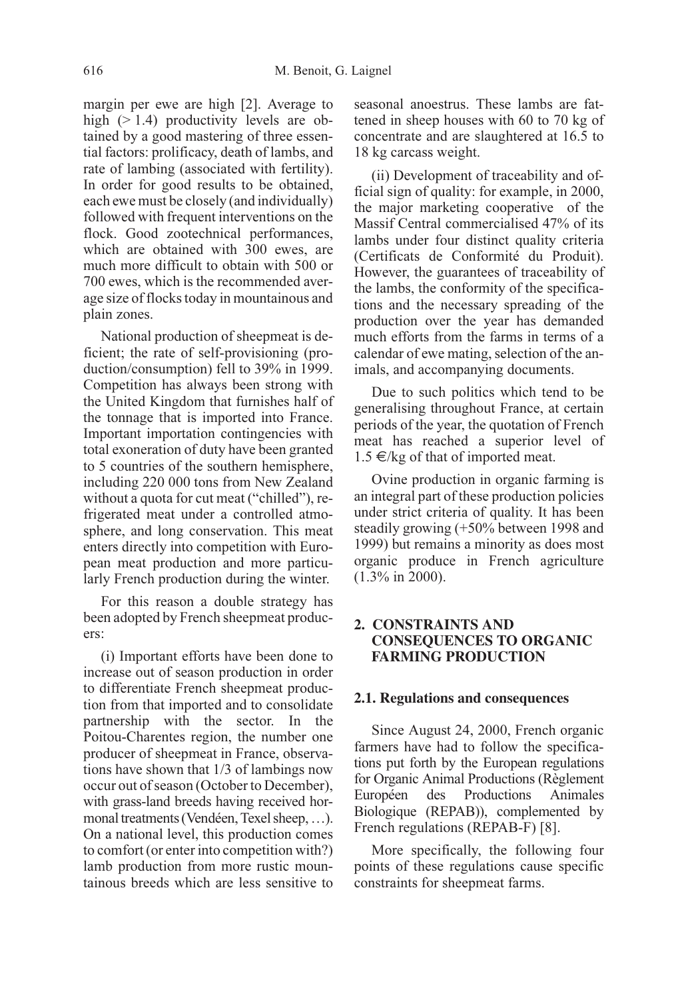margin per ewe are high [2]. Average to high  $(> 1.4)$  productivity levels are obtained by a good mastering of three essential factors: prolificacy, death of lambs, and rate of lambing (associated with fertility). In order for good results to be obtained, each ewe must be closely (and individually) followed with frequent interventions on the flock. Good zootechnical performances, which are obtained with 300 ewes, are much more difficult to obtain with 500 or 700 ewes, which is the recommended average size of flocks today in mountainous and plain zones.

National production of sheepmeat is deficient; the rate of self-provisioning (production/consumption) fell to 39% in 1999. Competition has always been strong with the United Kingdom that furnishes half of the tonnage that is imported into France. Important importation contingencies with total exoneration of duty have been granted to 5 countries of the southern hemisphere, including 220 000 tons from New Zealand without a quota for cut meat ("chilled"), refrigerated meat under a controlled atmosphere, and long conservation. This meat enters directly into competition with European meat production and more particularly French production during the winter.

For this reason a double strategy has been adopted by French sheepmeat producers:

(i) Important efforts have been done to increase out of season production in order to differentiate French sheepmeat production from that imported and to consolidate partnership with the sector. In the Poitou-Charentes region, the number one producer of sheepmeat in France, observations have shown that 1/3 of lambings now occur out of season (October to December), with grass-land breeds having received hormonal treatments (Vendéen, Texel sheep, …). On a national level, this production comes to comfort (or enter into competition with?) lamb production from more rustic mountainous breeds which are less sensitive to

seasonal anoestrus. These lambs are fattened in sheep houses with 60 to 70 kg of concentrate and are slaughtered at 16.5 to 18 kg carcass weight.

(ii) Development of traceability and official sign of quality: for example, in 2000, the major marketing cooperative of the Massif Central commercialised 47% of its lambs under four distinct quality criteria (Certificats de Conformité du Produit). However, the guarantees of traceability of the lambs, the conformity of the specifications and the necessary spreading of the production over the year has demanded much efforts from the farms in terms of a calendar of ewe mating, selection of the animals, and accompanying documents.

Due to such politics which tend to be generalising throughout France, at certain periods of the year, the quotation of French meat has reached a superior level of 1.5 €/kg of that of imported meat.

Ovine production in organic farming is an integral part of these production policies under strict criteria of quality. It has been steadily growing (+50% between 1998 and 1999) but remains a minority as does most organic produce in French agriculture (1.3% in 2000).

# **2. CONSTRAINTS AND CONSEQUENCES TO ORGANIC FARMING PRODUCTION**

#### **2.1. Regulations and consequences**

Since August 24, 2000, French organic farmers have had to follow the specifications put forth by the European regulations for Organic Animal Productions (Règlement Européen des Productions Animales Biologique (REPAB)), complemented by French regulations (REPAB-F) [8].

More specifically, the following four points of these regulations cause specific constraints for sheepmeat farms.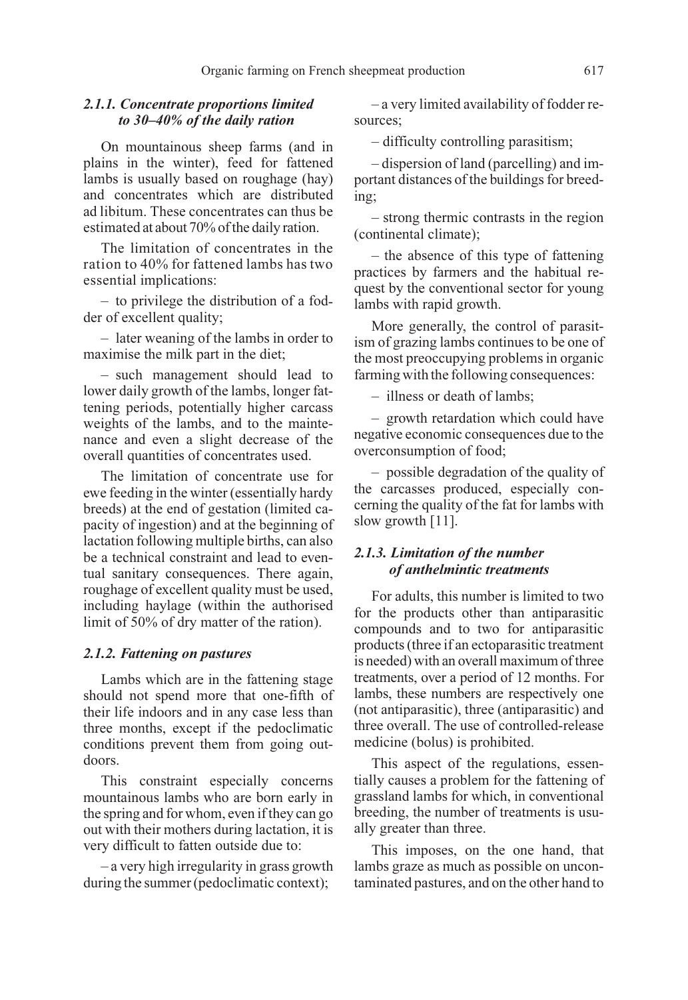# 2.1.1. Concentrate proportions limited to 30–40% of the daily ration

On mountainous sheep farms (and in plains in the winter), feed for fattened lambs is usually based on roughage (hay) and concentrates which are distributed ad libitum. These concentrates can thus be estimated at about 70% of the daily ration.

The limitation of concentrates in the ration to 40% for fattened lambs has two essential implications:

– to privilege the distribution of a fodder of excellent quality;

– later weaning of the lambs in order to maximise the milk part in the diet;

– such management should lead to lower daily growth of the lambs, longer fattening periods, potentially higher carcass weights of the lambs, and to the maintenance and even a slight decrease of the overall quantities of concentrates used.

The limitation of concentrate use for ewe feeding in the winter (essentially hardy breeds) at the end of gestation (limited capacity of ingestion) and at the beginning of lactation following multiple births, can also be a technical constraint and lead to eventual sanitary consequences. There again, roughage of excellent quality must be used, including haylage (within the authorised limit of 50% of dry matter of the ration).

#### 2.1.2. Fattening on pastures

Lambs which are in the fattening stage should not spend more that one-fifth of their life indoors and in any case less than three months, except if the pedoclimatic conditions prevent them from going outdoors.

This constraint especially concerns mountainous lambs who are born early in the spring and for whom, even if they can go out with their mothers during lactation, it is very difficult to fatten outside due to:

– a very high irregularity in grass growth during the summer (pedoclimatic context);

– a very limited availability of fodder resources;

– difficulty controlling parasitism;

– dispersion of land (parcelling) and important distances of the buildings for breeding;

– strong thermic contrasts in the region (continental climate);

– the absence of this type of fattening practices by farmers and the habitual request by the conventional sector for young lambs with rapid growth.

More generally, the control of parasitism of grazing lambs continues to be one of the most preoccupying problems in organic farming with the following consequences:

– illness or death of lambs;

– growth retardation which could have negative economic consequences due to the overconsumption of food;

– possible degradation of the quality of the carcasses produced, especially concerning the quality of the fat for lambs with slow growth [11].

# 2.1.3. Limitation of the number of anthelmintic treatments

For adults, this number is limited to two for the products other than antiparasitic compounds and to two for antiparasitic products (three if an ectoparasitic treatment is needed) with an overall maximum of three treatments, over a period of 12 months. For lambs, these numbers are respectively one (not antiparasitic), three (antiparasitic) and three overall. The use of controlled-release medicine (bolus) is prohibited.

This aspect of the regulations, essentially causes a problem for the fattening of grassland lambs for which, in conventional breeding, the number of treatments is usually greater than three.

This imposes, on the one hand, that lambs graze as much as possible on uncontaminated pastures, and on the other hand to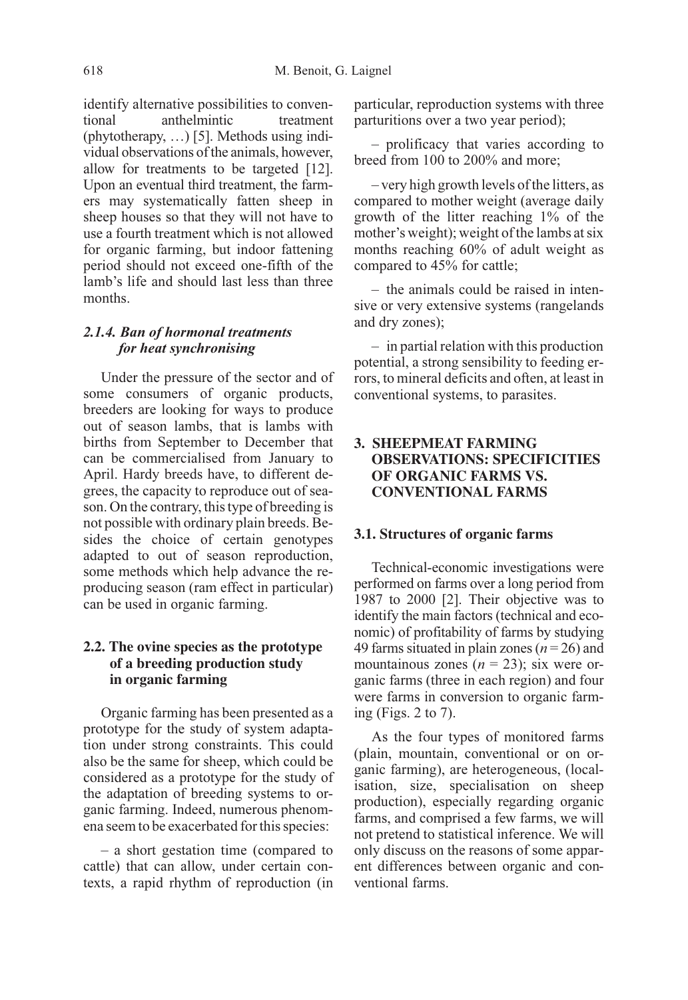identify alternative possibilities to conventional anthelmintic treatment (phytotherapy, …) [5]. Methods using individual observations of the animals, however, allow for treatments to be targeted [12]. Upon an eventual third treatment, the farmers may systematically fatten sheep in sheep houses so that they will not have to use a fourth treatment which is not allowed for organic farming, but indoor fattening period should not exceed one-fifth of the lamb's life and should last less than three months.

#### 2.1.4. Ban of hormonal treatments for heat synchronising

Under the pressure of the sector and of some consumers of organic products, breeders are looking for ways to produce out of season lambs, that is lambs with births from September to December that can be commercialised from January to April. Hardy breeds have, to different degrees, the capacity to reproduce out of season. On the contrary, this type of breeding is not possible with ordinary plain breeds. Besides the choice of certain genotypes adapted to out of season reproduction, some methods which help advance the reproducing season (ram effect in particular) can be used in organic farming.

# **2.2. The ovine species as the prototype of a breeding production study in organic farming**

Organic farming has been presented as a prototype for the study of system adaptation under strong constraints. This could also be the same for sheep, which could be considered as a prototype for the study of the adaptation of breeding systems to organic farming. Indeed, numerous phenomena seem to be exacerbated for this species:

– a short gestation time (compared to cattle) that can allow, under certain contexts, a rapid rhythm of reproduction (in particular, reproduction systems with three parturitions over a two year period);

– prolificacy that varies according to breed from 100 to 200% and more;

– very high growth levels of the litters, as compared to mother weight (average daily growth of the litter reaching 1% of the mother's weight); weight of the lambs at six months reaching 60% of adult weight as compared to 45% for cattle;

– the animals could be raised in intensive or very extensive systems (rangelands and dry zones);

– in partial relation with this production potential, a strong sensibility to feeding errors, to mineral deficits and often, at least in conventional systems, to parasites.

# **3. SHEEPMEAT FARMING OBSERVATIONS: SPECIFICITIES OF ORGANIC FARMS VS. CONVENTIONAL FARMS**

# **3.1. Structures of organic farms**

Technical-economic investigations were performed on farms over a long period from 1987 to 2000 [2]. Their objective was to identify the main factors (technical and economic) of profitability of farms by studying 49 farms situated in plain zones ( $n = 26$ ) and mountainous zones ( $n = 23$ ); six were organic farms (three in each region) and four were farms in conversion to organic farming (Figs. 2 to 7).

As the four types of monitored farms (plain, mountain, conventional or on organic farming), are heterogeneous, (localisation, size, specialisation on sheep production), especially regarding organic farms, and comprised a few farms, we will not pretend to statistical inference. We will only discuss on the reasons of some apparent differences between organic and conventional farms.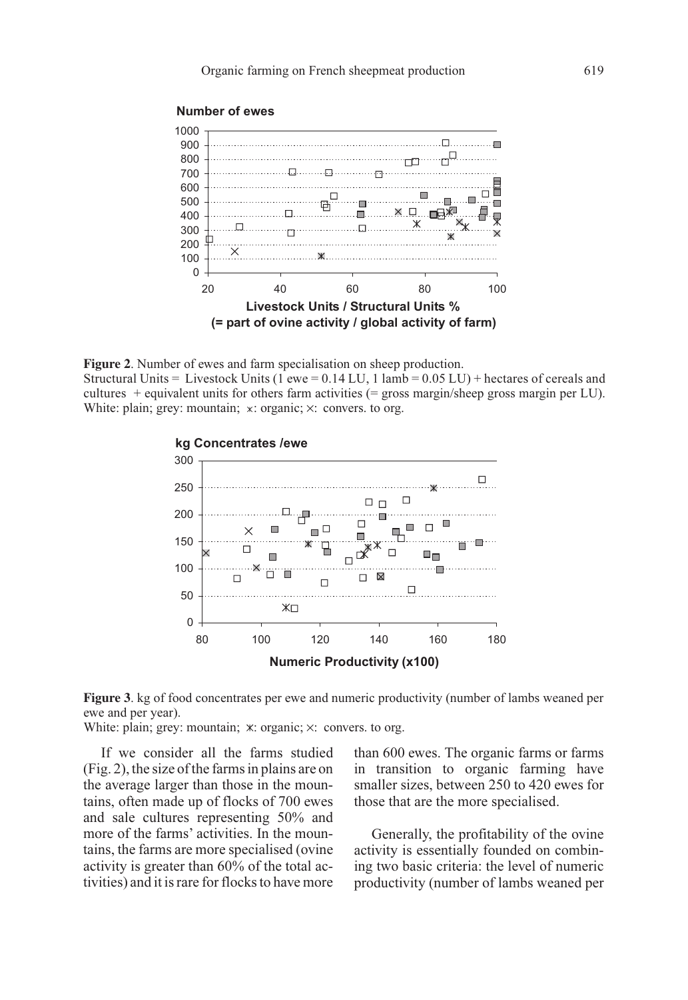

# **Number of ewes**







White: plain; grey: mountain;  $x$ : organic;  $x$ : convers. to org.

If we consider all the farms studied (Fig. 2), the size of the farms in plains are on the average larger than those in the mountains, often made up of flocks of 700 ewes and sale cultures representing 50% and more of the farms' activities. In the mountains, the farms are more specialised (ovine activity is greater than 60% of the total activities) and it is rare for flocks to have more than 600 ewes. The organic farms or farms in transition to organic farming have smaller sizes, between 250 to 420 ewes for those that are the more specialised.

Generally, the profitability of the ovine activity is essentially founded on combining two basic criteria: the level of numeric productivity (number of lambs weaned per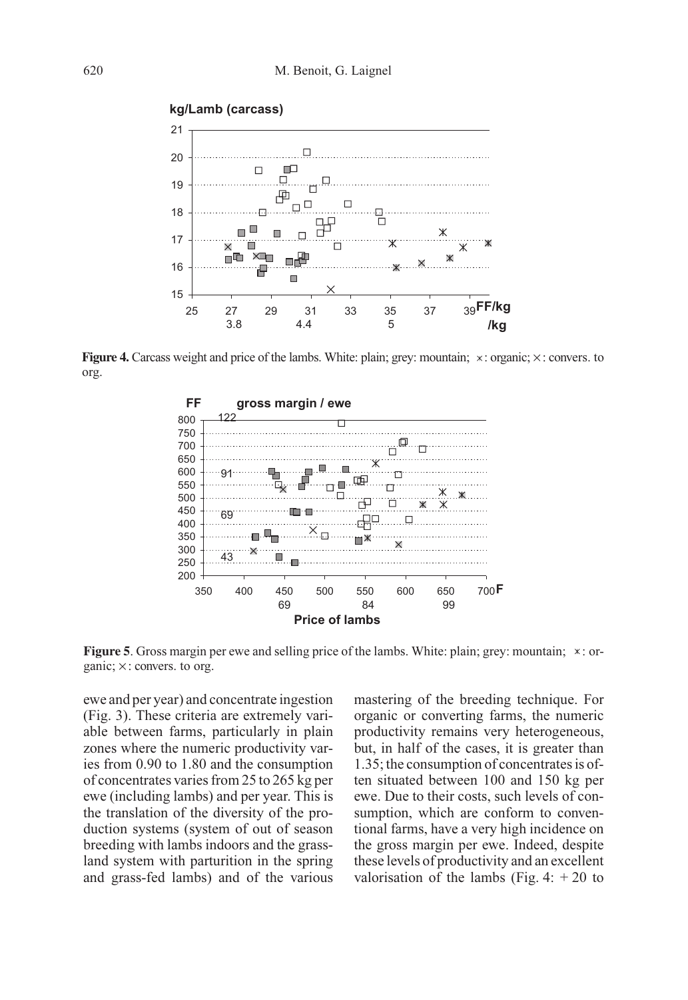

**Figure 4.** Carcass weight and price of the lambs. White: plain; grey: mountain;  $\times$ : organic;  $\times$ : convers. to org.



**Figure 5.** Gross margin per ewe and selling price of the lambs. White: plain; grey: mountain;  $*$ : organic; × : convers. to org.

ewe and per year) and concentrate ingestion (Fig. 3). These criteria are extremely variable between farms, particularly in plain zones where the numeric productivity varies from 0.90 to 1.80 and the consumption of concentrates varies from 25 to 265 kg per ewe (including lambs) and per year. This is the translation of the diversity of the production systems (system of out of season breeding with lambs indoors and the grassland system with parturition in the spring and grass-fed lambs) and of the various mastering of the breeding technique. For organic or converting farms, the numeric productivity remains very heterogeneous, but, in half of the cases, it is greater than 1.35; the consumption of concentrates is often situated between 100 and 150 kg per ewe. Due to their costs, such levels of consumption, which are conform to conventional farms, have a very high incidence on the gross margin per ewe. Indeed, despite these levels of productivity and an excellent valorisation of the lambs (Fig. 4:  $+20$  to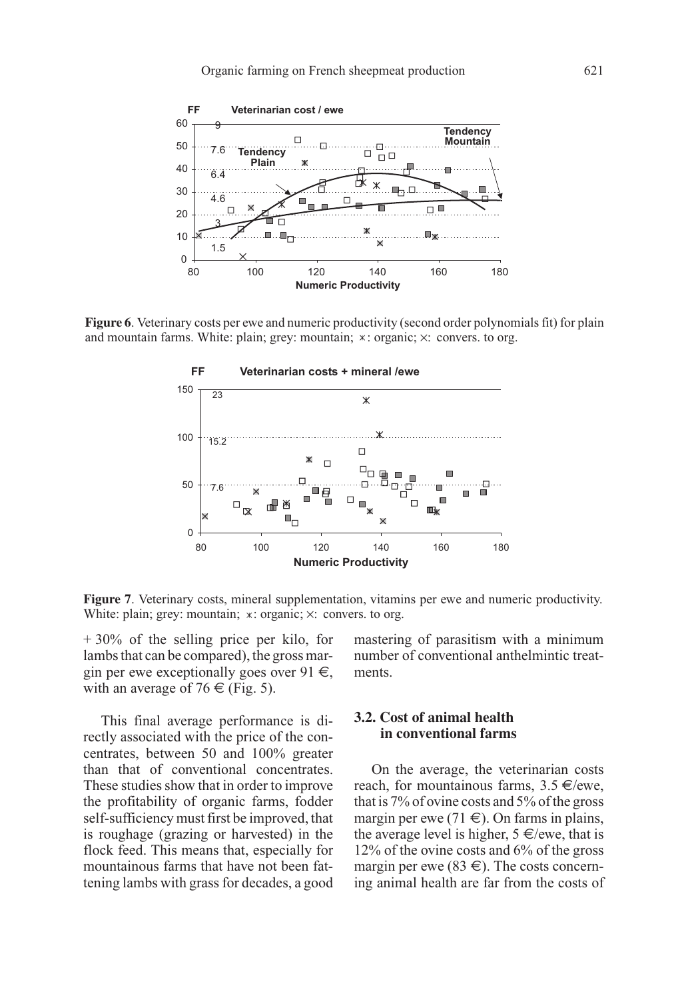

**Figure 6**. Veterinary costs per ewe and numeric productivity (second order polynomials fit) for plain and mountain farms. White: plain; grey: mountain;  $*$ : organic;  $\times$ : convers. to org.



**Figure 7**. Veterinary costs, mineral supplementation, vitamins per ewe and numeric productivity. White: plain; grey: mountain;  $x$ : organic;  $x$ : convers. to org.

+ 30% of the selling price per kilo, for lambs that can be compared), the gross margin per ewe exceptionally goes over 91  $\in$ , with an average of 76  $\in$  (Fig. 5).

This final average performance is directly associated with the price of the concentrates, between 50 and 100% greater than that of conventional concentrates. These studies show that in order to improve the profitability of organic farms, fodder self-sufficiency must first be improved, that is roughage (grazing or harvested) in the flock feed. This means that, especially for mountainous farms that have not been fattening lambs with grass for decades, a good mastering of parasitism with a minimum number of conventional anthelmintic treatments.

# **3.2. Cost of animal health in conventional farms**

On the average, the veterinarian costs reach, for mountainous farms,  $3.5 \in$ /ewe, that is 7% of ovine costs and 5% of the gross margin per ewe (71  $\in$ ). On farms in plains, the average level is higher,  $5 \in \text{/ewe}$ , that is 12% of the ovine costs and 6% of the gross margin per ewe (83  $\in$ ). The costs concerning animal health are far from the costs of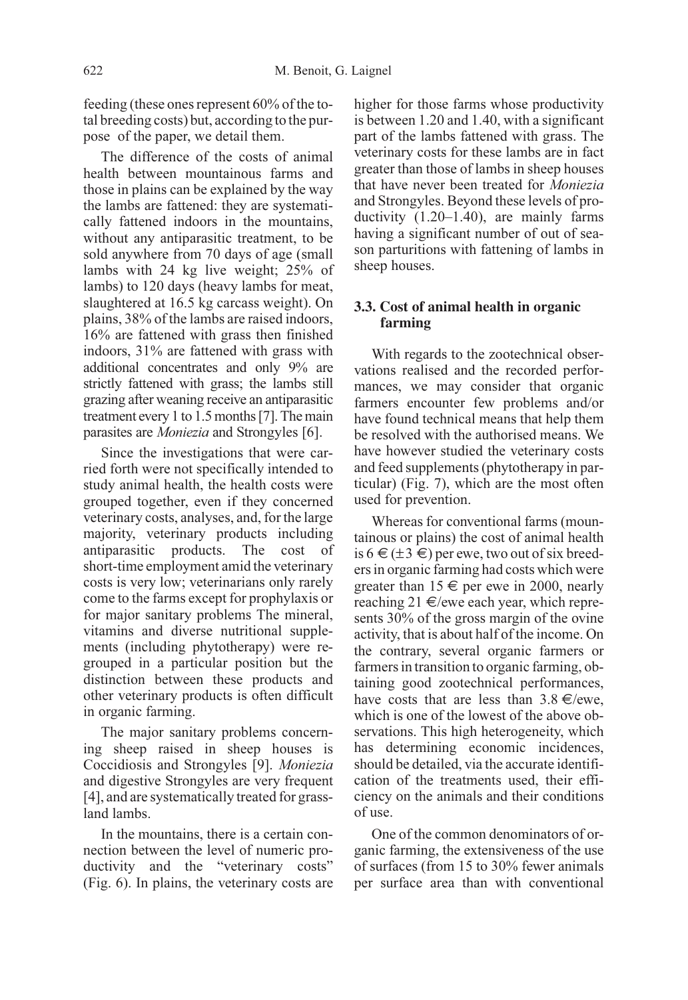feeding (these ones represent 60% of the total breeding costs) but, according to the purpose of the paper, we detail them.

The difference of the costs of animal health between mountainous farms and those in plains can be explained by the way the lambs are fattened: they are systematically fattened indoors in the mountains, without any antiparasitic treatment, to be sold anywhere from 70 days of age (small lambs with 24 kg live weight; 25% of lambs) to 120 days (heavy lambs for meat, slaughtered at 16.5 kg carcass weight). On plains, 38% of the lambs are raised indoors, 16% are fattened with grass then finished indoors, 31% are fattened with grass with additional concentrates and only 9% are strictly fattened with grass; the lambs still grazing after weaning receive an antiparasitic treatment every 1 to 1.5 months [7]. The main parasites are Moniezia and Strongyles [6].

Since the investigations that were carried forth were not specifically intended to study animal health, the health costs were grouped together, even if they concerned veterinary costs, analyses, and, for the large majority, veterinary products including antiparasitic products. The cost of short-time employment amid the veterinary costs is very low; veterinarians only rarely come to the farms except for prophylaxis or for major sanitary problems The mineral, vitamins and diverse nutritional supplements (including phytotherapy) were regrouped in a particular position but the distinction between these products and other veterinary products is often difficult in organic farming.

The major sanitary problems concerning sheep raised in sheep houses is Coccidiosis and Strongyles [9]. Moniezia and digestive Strongyles are very frequent [4], and are systematically treated for grassland lambs.

In the mountains, there is a certain connection between the level of numeric productivity and the "veterinary costs" (Fig. 6). In plains, the veterinary costs are higher for those farms whose productivity is between 1.20 and 1.40, with a significant part of the lambs fattened with grass. The veterinary costs for these lambs are in fact greater than those of lambs in sheep houses that have never been treated for Moniezia and Strongyles. Beyond these levels of productivity (1.20–1.40), are mainly farms having a significant number of out of season parturitions with fattening of lambs in sheep houses.

### **3.3. Cost of animal health in organic farming**

With regards to the zootechnical observations realised and the recorded performances, we may consider that organic farmers encounter few problems and/or have found technical means that help them be resolved with the authorised means. We have however studied the veterinary costs and feed supplements (phytotherapy in particular) (Fig. 7), which are the most often used for prevention.

Whereas for conventional farms (mountainous or plains) the cost of animal health is  $6 \in (\pm 3 \in)$  per ewe, two out of six breeders in organic farming had costs which were greater than  $15 \in$  per ewe in 2000, nearly reaching 21  $\in$ /ewe each year, which represents 30% of the gross margin of the ovine activity, that is about half of the income. On the contrary, several organic farmers or farmers in transition to organic farming, obtaining good zootechnical performances, have costs that are less than  $3.8 \in \text{/ewe}$ , which is one of the lowest of the above observations. This high heterogeneity, which has determining economic incidences, should be detailed, via the accurate identification of the treatments used, their efficiency on the animals and their conditions of use.

One of the common denominators of organic farming, the extensiveness of the use of surfaces (from 15 to 30% fewer animals per surface area than with conventional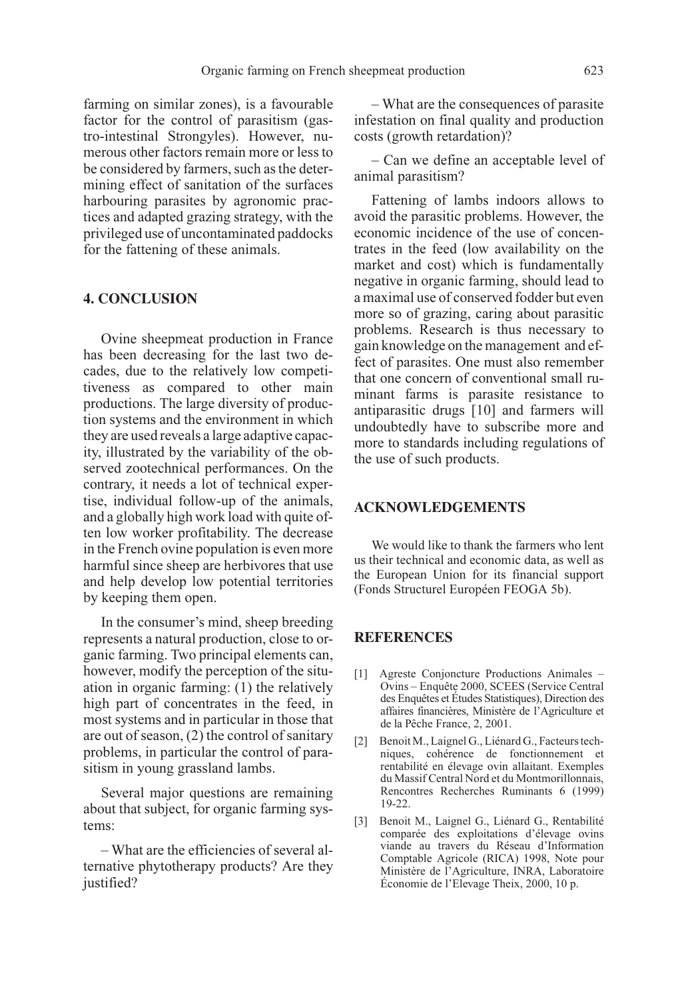farming on similar zones), is a favourable factor for the control of parasitism (gastro-intestinal Strongyles). However, numerous other factors remain more or less to be considered by farmers, such as the determining effect of sanitation of the surfaces harbouring parasites by agronomic practices and adapted grazing strategy, with the privileged use of uncontaminated paddocks for the fattening of these animals.

# **4. CONCLUSION**

Ovine sheepmeat production in France has been decreasing for the last two decades, due to the relatively low competitiveness as compared to other main productions. The large diversity of production systems and the environment in which they are used reveals a large adaptive capacity, illustrated by the variability of the observed zootechnical performances. On the contrary, it needs a lot of technical expertise, individual follow-up of the animals, and a globally high work load with quite often low worker profitability. The decrease in the French ovine population is even more harmful since sheep are herbivores that use and help develop low potential territories by keeping them open.

In the consumer's mind, sheep breeding represents a natural production, close to organic farming. Two principal elements can, however, modify the perception of the situation in organic farming: (1) the relatively high part of concentrates in the feed, in most systems and in particular in those that are out of season, (2) the control of sanitary problems, in particular the control of parasitism in young grassland lambs.

Several major questions are remaining about that subject, for organic farming systems:

– What are the efficiencies of several alternative phytotherapy products? Are they justified?

– What are the consequences of parasite infestation on final quality and production costs (growth retardation)?

– Can we define an acceptable level of animal parasitism?

Fattening of lambs indoors allows to avoid the parasitic problems. However, the economic incidence of the use of concentrates in the feed (low availability on the market and cost) which is fundamentally negative in organic farming, should lead to a maximal use of conserved fodder but even more so of grazing, caring about parasitic problems. Research is thus necessary to gain knowledge on the management and effect of parasites. One must also remember that one concern of conventional small ruminant farms is parasite resistance to antiparasitic drugs [10] and farmers will undoubtedly have to subscribe more and more to standards including regulations of the use of such products.

# **ACKNOWLEDGEMENTS**

We would like to thank the farmers who lent us their technical and economic data, as well as the European Union for its financial support (Fonds Structurel Européen FEOGA 5b).

#### **REFERENCES**

- [1] Agreste Conjoncture Productions Animales Ovins – Enquête 2000, SCEES (Service Central des Enquêtes et Études Statistiques), Direction des affaires financières, Ministère de l'Agriculture et de la Pêche France, 2, 2001.
- [2] Benoit M., Laignel G., Liénard G., Facteurs techniques, cohérence de fonctionnement et rentabilité en élevage ovin allaitant. Exemples du Massif Central Nord et du Montmorillonnais, Rencontres Recherches Ruminants 6 (1999) 19-22.
- [3] Benoit M., Laignel G., Liénard G., Rentabilité comparée des exploitations d'élevage ovins viande au travers du Réseau d'Information Comptable Agricole (RICA) 1998, Note pour Ministère de l'Agriculture, INRA, Laboratoire Économie de l'Elevage Theix, 2000, 10 p.